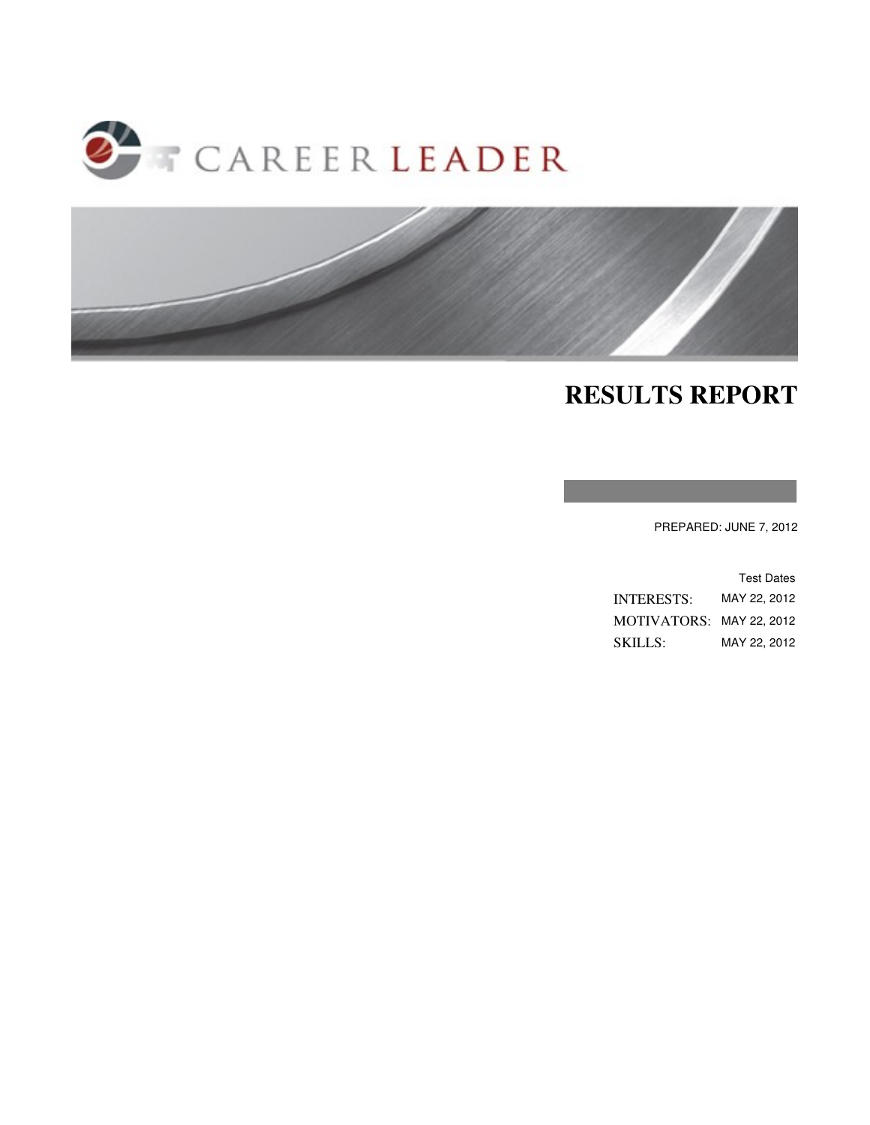



## **RESULTS REPORT**

PREPARED: JUNE 7, 2012

|                          | <b>Test Dates</b> |
|--------------------------|-------------------|
| <b>INTERESTS:</b>        | MAY 22. 2012      |
| MOTIVATORS: MAY 22, 2012 |                   |
| SKILLS:                  | MAY 22, 2012      |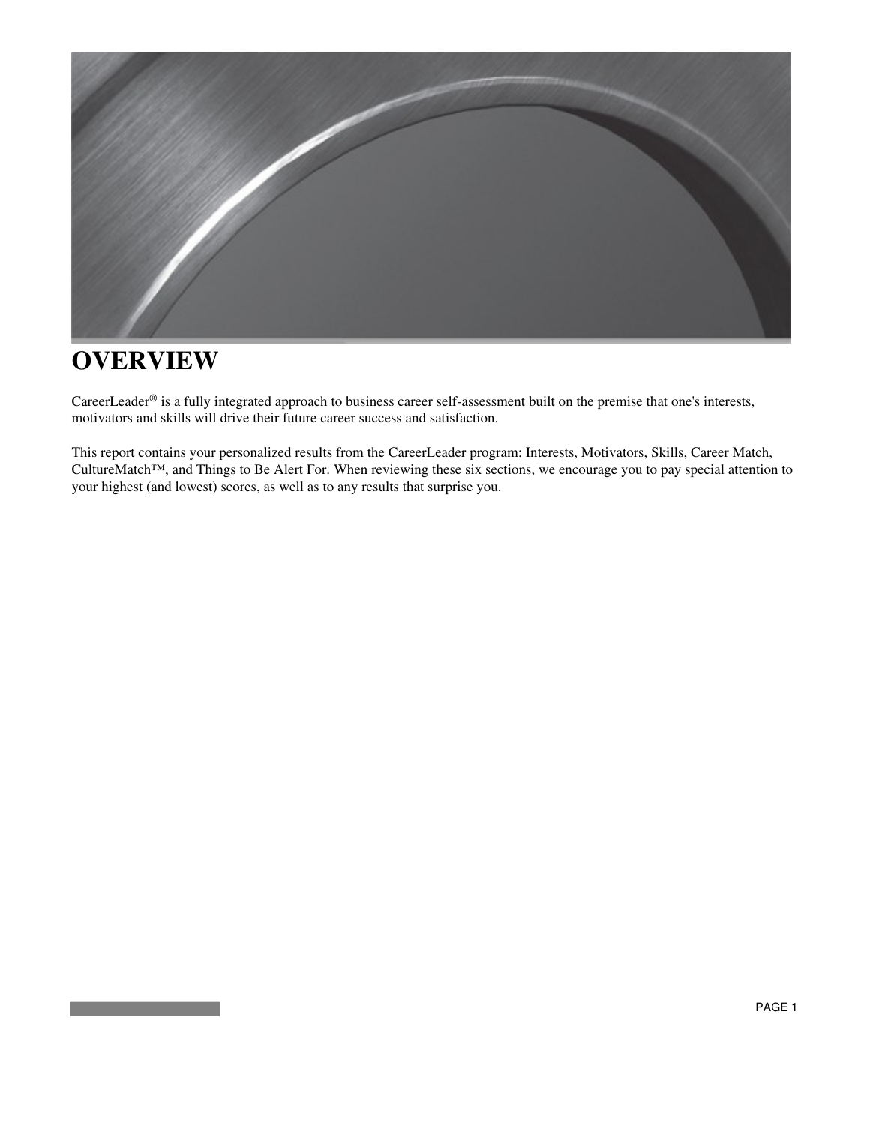

### **OVERVIEW**

CareerLeader® is a fully integrated approach to business career self-assessment built on the premise that one's interests, motivators and skills will drive their future career success and satisfaction.

This report contains your personalized results from the CareerLeader program: Interests, Motivators, Skills, Career Match, CultureMatch™, and Things to Be Alert For. When reviewing these six sections, we encourage you to pay special attention to your highest (and lowest) scores, as well as to any results that surprise you.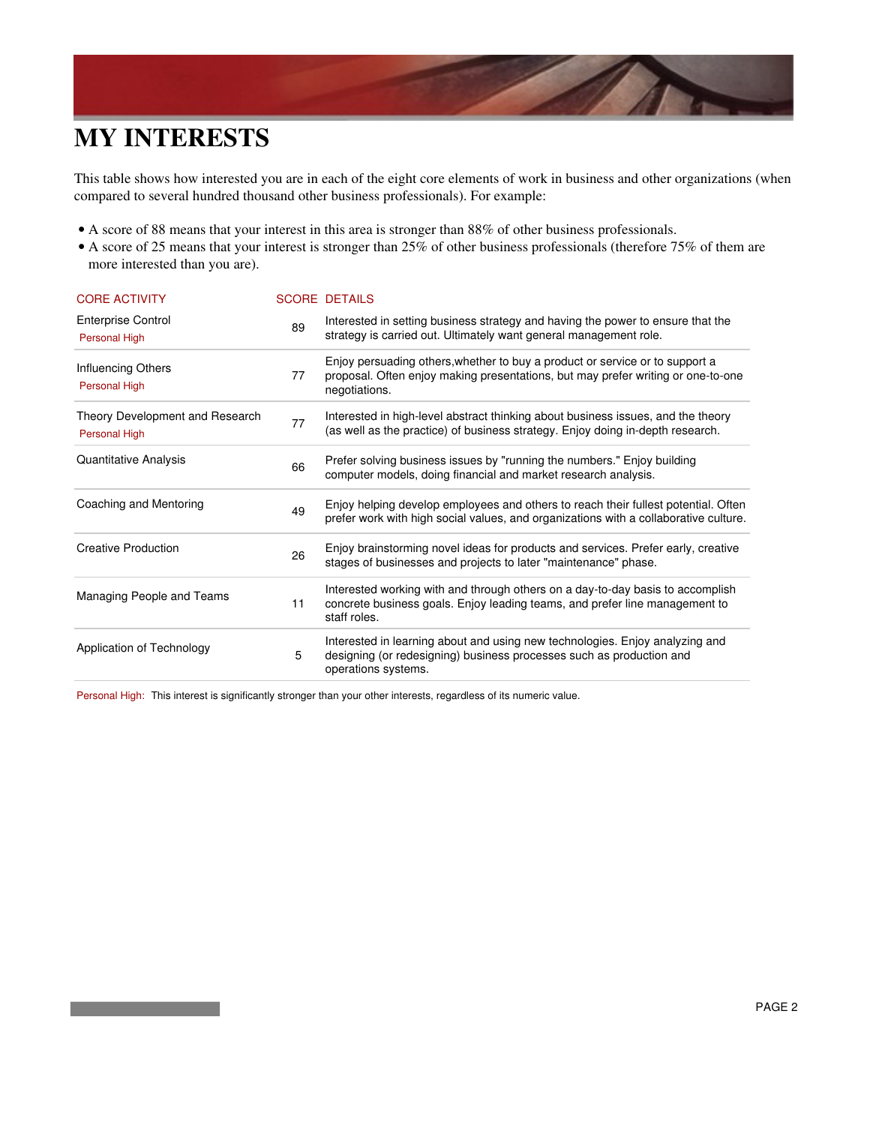## **MY INTERESTS**

This table shows how interested you are in each of the eight core elements of work in business and other organizations (when compared to several hundred thousand other business professionals). For example:

- A score of 88 means that your interest in this area is stronger than 88% of other business professionals.
- A score of 25 means that your interest is stronger than 25% of other business professionals (therefore 75% of them are more interested than you are).

| <b>CORE ACTIVITY</b>                             |    | <b>SCORE DETAILS</b>                                                                                                                                                              |
|--------------------------------------------------|----|-----------------------------------------------------------------------------------------------------------------------------------------------------------------------------------|
| <b>Enterprise Control</b><br>Personal High       | 89 | Interested in setting business strategy and having the power to ensure that the<br>strategy is carried out. Ultimately want general management role.                              |
| Influencing Others<br>Personal High              | 77 | Enjoy persuading others, whether to buy a product or service or to support a<br>proposal. Often enjoy making presentations, but may prefer writing or one-to-one<br>negotiations. |
| Theory Development and Research<br>Personal High | 77 | Interested in high-level abstract thinking about business issues, and the theory<br>(as well as the practice) of business strategy. Enjoy doing in-depth research.                |
| Quantitative Analysis                            | 66 | Prefer solving business issues by "running the numbers." Enjoy building<br>computer models, doing financial and market research analysis.                                         |
| Coaching and Mentoring                           | 49 | Enjoy helping develop employees and others to reach their fullest potential. Often<br>prefer work with high social values, and organizations with a collaborative culture.        |
| <b>Creative Production</b>                       | 26 | Enjoy brainstorming novel ideas for products and services. Prefer early, creative<br>stages of businesses and projects to later "maintenance" phase.                              |
| Managing People and Teams                        | 11 | Interested working with and through others on a day-to-day basis to accomplish<br>concrete business goals. Enjoy leading teams, and prefer line management to<br>staff roles.     |
| Application of Technology                        | 5  | Interested in learning about and using new technologies. Enjoy analyzing and<br>designing (or redesigning) business processes such as production and<br>operations systems.       |

Personal High: This interest is significantly stronger than your other interests, regardless of its numeric value.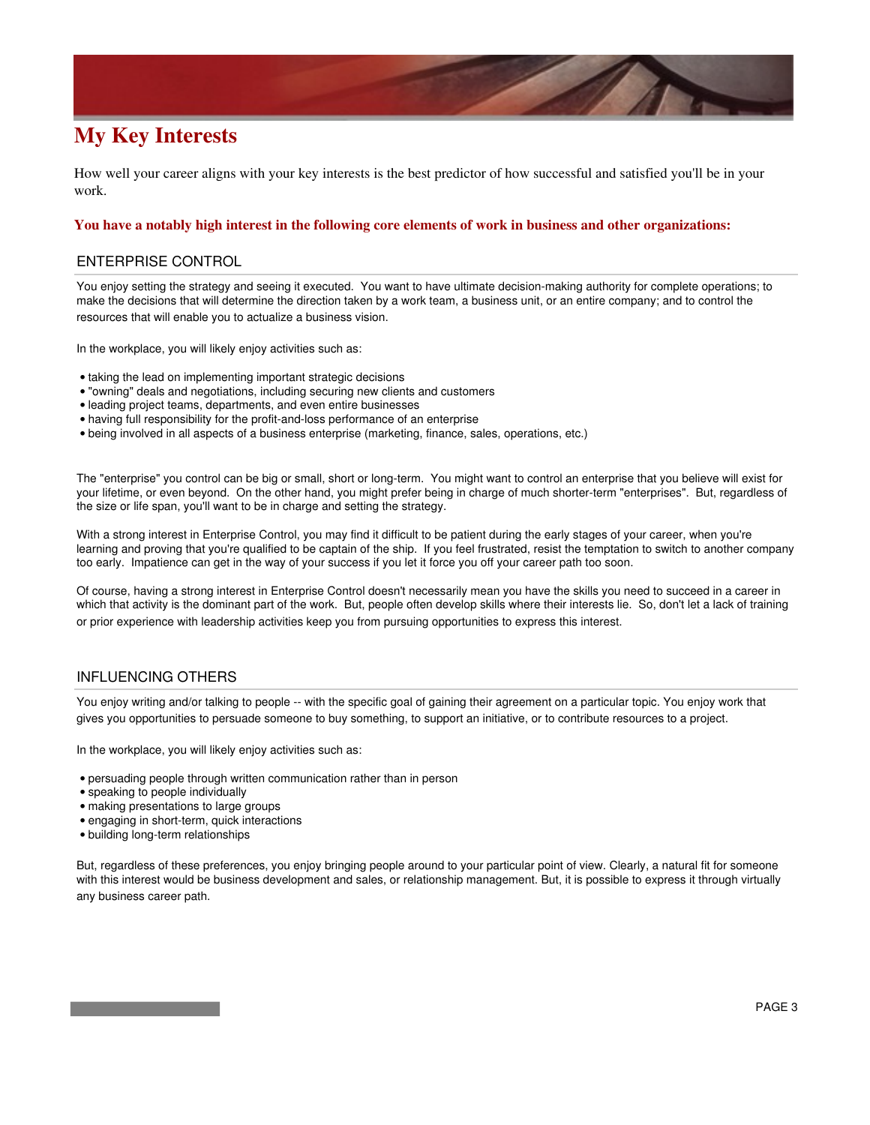### **My Key Interests**

How well your career aligns with your key interests is the best predictor of how successful and satisfied you'll be in your work.

#### **You have a notably high interest in the following core elements of work in business and other organizations:**

#### ENTERPRISE CONTROL

You enjoy setting the strategy and seeing it executed. You want to have ultimate decision-making authority for complete operations; to make the decisions that will determine the direction taken by a work team, a business unit, or an entire company; and to control the resources that will enable you to actualize a business vision.

In the workplace, you will likely enjoy activities such as:

- taking the lead on implementing important strategic decisions
- "owning" deals and negotiations, including securing new clients and customers
- leading project teams, departments, and even entire businesses
- having full responsibility for the profit-and-loss performance of an enterprise
- being involved in all aspects of a business enterprise (marketing, finance, sales, operations, etc.)

The "enterprise" you control can be big or small, short or long-term. You might want to control an enterprise that you believe will exist for your lifetime, or even beyond. On the other hand, you might prefer being in charge of much shorter-term "enterprises". But, regardless of the size or life span, you'll want to be in charge and setting the strategy.

With a strong interest in Enterprise Control, you may find it difficult to be patient during the early stages of your career, when you're learning and proving that you're qualified to be captain of the ship. If you feel frustrated, resist the temptation to switch to another company too early. Impatience can get in the way of your success if you let it force you off your career path too soon.

Of course, having a strong interest in Enterprise Control doesn't necessarily mean you have the skills you need to succeed in a career in which that activity is the dominant part of the work. But, people often develop skills where their interests lie. So, don't let a lack of training or prior experience with leadership activities keep you from pursuing opportunities to express this interest.

#### INFLUENCING OTHERS

You enjoy writing and/or talking to people -- with the specific goal of gaining their agreement on a particular topic. You enjoy work that gives you opportunities to persuade someone to buy something, to support an initiative, or to contribute resources to a project.

In the workplace, you will likely enjoy activities such as:

- persuading people through written communication rather than in person
- speaking to people individually
- making presentations to large groups
- engaging in short-term, quick interactions
- building long-term relationships

But, regardless of these preferences, you enjoy bringing people around to your particular point of view. Clearly, a natural fit for someone with this interest would be business development and sales, or relationship management. But, it is possible to express it through virtually any business career path.

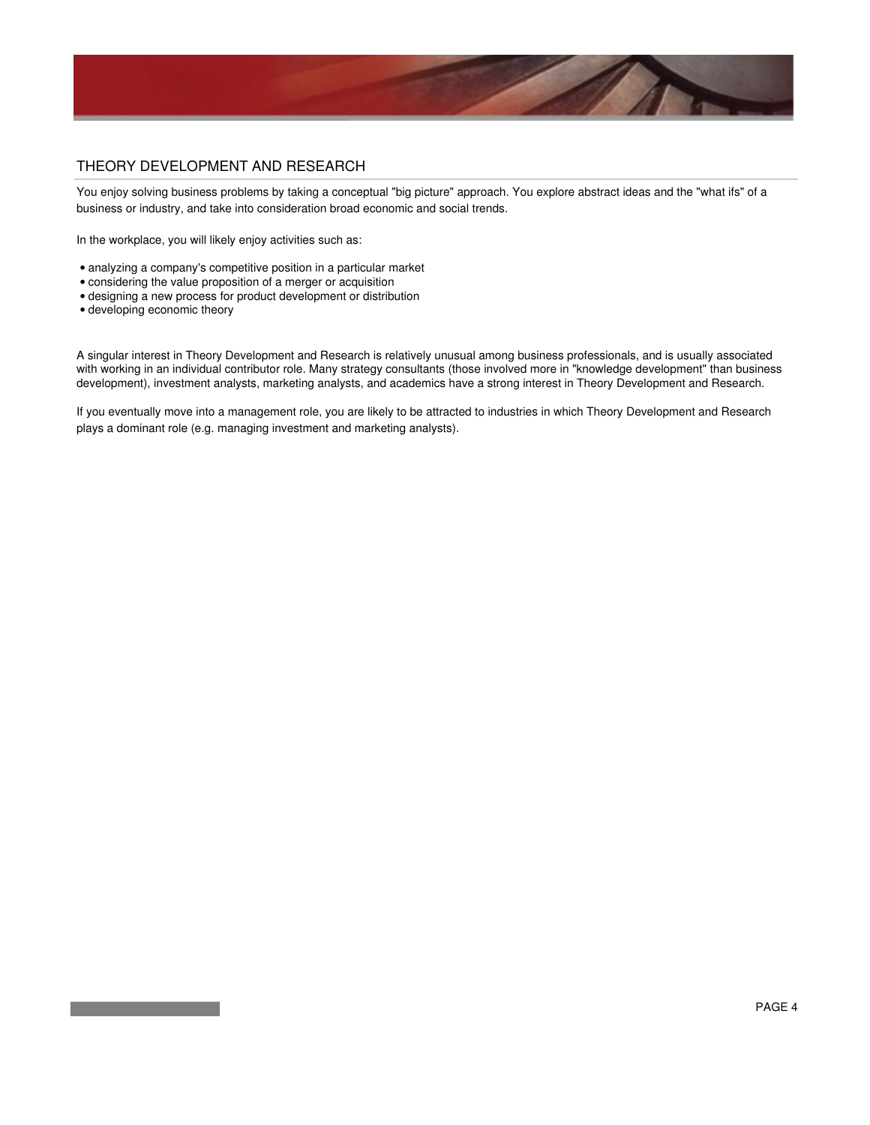

#### THEORY DEVELOPMENT AND RESEARCH

You enjoy solving business problems by taking a conceptual "big picture" approach. You explore abstract ideas and the "what ifs" of a business or industry, and take into consideration broad economic and social trends.

In the workplace, you will likely enjoy activities such as:

- analyzing a company's competitive position in a particular market
- considering the value proposition of a merger or acquisition
- designing a new process for product development or distribution
- developing economic theory

A singular interest in Theory Development and Research is relatively unusual among business professionals, and is usually associated with working in an individual contributor role. Many strategy consultants (those involved more in "knowledge development" than business development), investment analysts, marketing analysts, and academics have a strong interest in Theory Development and Research.

If you eventually move into a management role, you are likely to be attracted to industries in which Theory Development and Research plays a dominant role (e.g. managing investment and marketing analysts).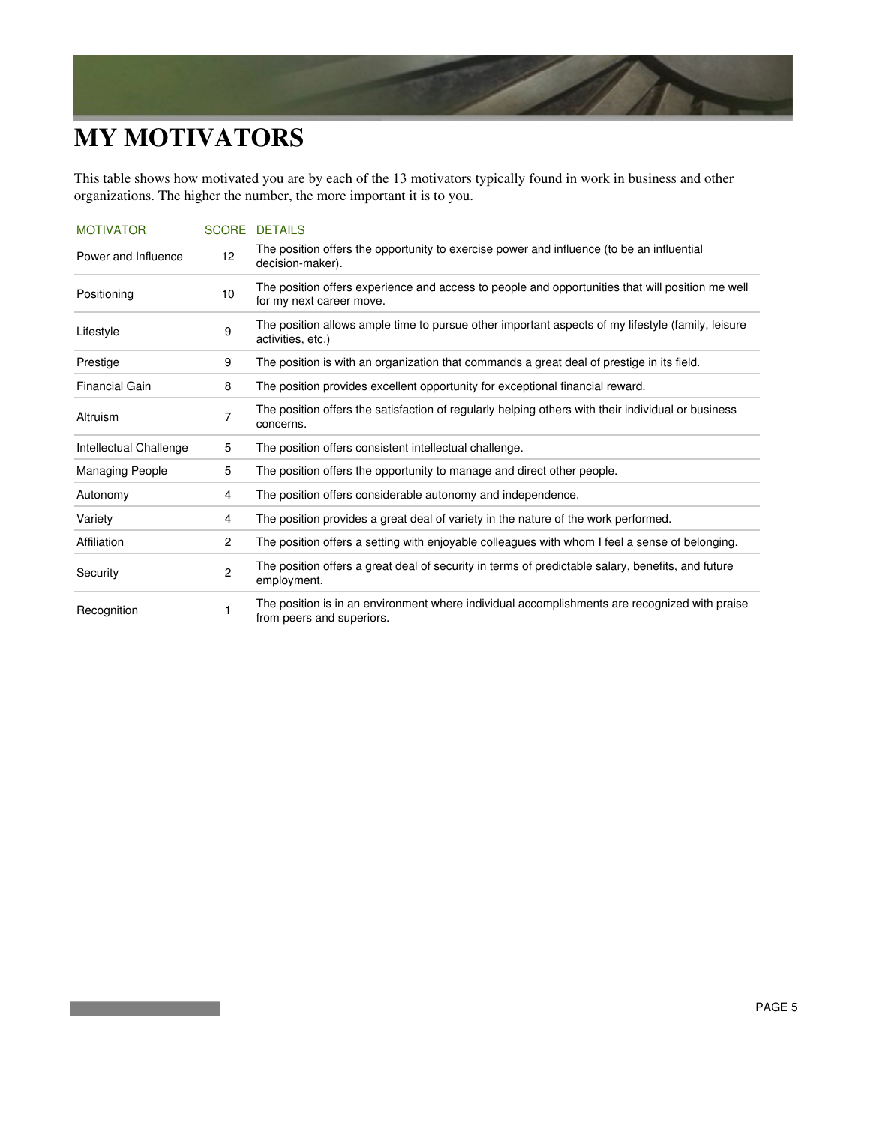## **MY MOTIVATORS**

This table shows how motivated you are by each of the 13 motivators typically found in work in business and other organizations. The higher the number, the more important it is to you.

| <b>MOTIVATOR</b>       |                         | <b>SCORE DETAILS</b>                                                                                                         |
|------------------------|-------------------------|------------------------------------------------------------------------------------------------------------------------------|
| Power and Influence    | 12                      | The position offers the opportunity to exercise power and influence (to be an influential<br>decision-maker).                |
| Positioning            | 10                      | The position offers experience and access to people and opportunities that will position me well<br>for my next career move. |
| Lifestyle              | 9                       | The position allows ample time to pursue other important aspects of my lifestyle (family, leisure<br>activities, etc.)       |
| Prestige               | 9                       | The position is with an organization that commands a great deal of prestige in its field.                                    |
| <b>Financial Gain</b>  | 8                       | The position provides excellent opportunity for exceptional financial reward.                                                |
| Altruism               | $\overline{7}$          | The position offers the satisfaction of regularly helping others with their individual or business<br>concerns.              |
| Intellectual Challenge | 5                       | The position offers consistent intellectual challenge.                                                                       |
| <b>Managing People</b> | 5                       | The position offers the opportunity to manage and direct other people.                                                       |
| Autonomy               | 4                       | The position offers considerable autonomy and independence.                                                                  |
| Variety                | 4                       | The position provides a great deal of variety in the nature of the work performed.                                           |
| Affiliation            | $\overline{2}$          | The position offers a setting with enjoyable colleagues with whom I feel a sense of belonging.                               |
| Security               | $\overline{\mathbf{c}}$ | The position offers a great deal of security in terms of predictable salary, benefits, and future<br>employment.             |
| Recognition            | 1                       | The position is in an environment where individual accomplishments are recognized with praise<br>from peers and superiors.   |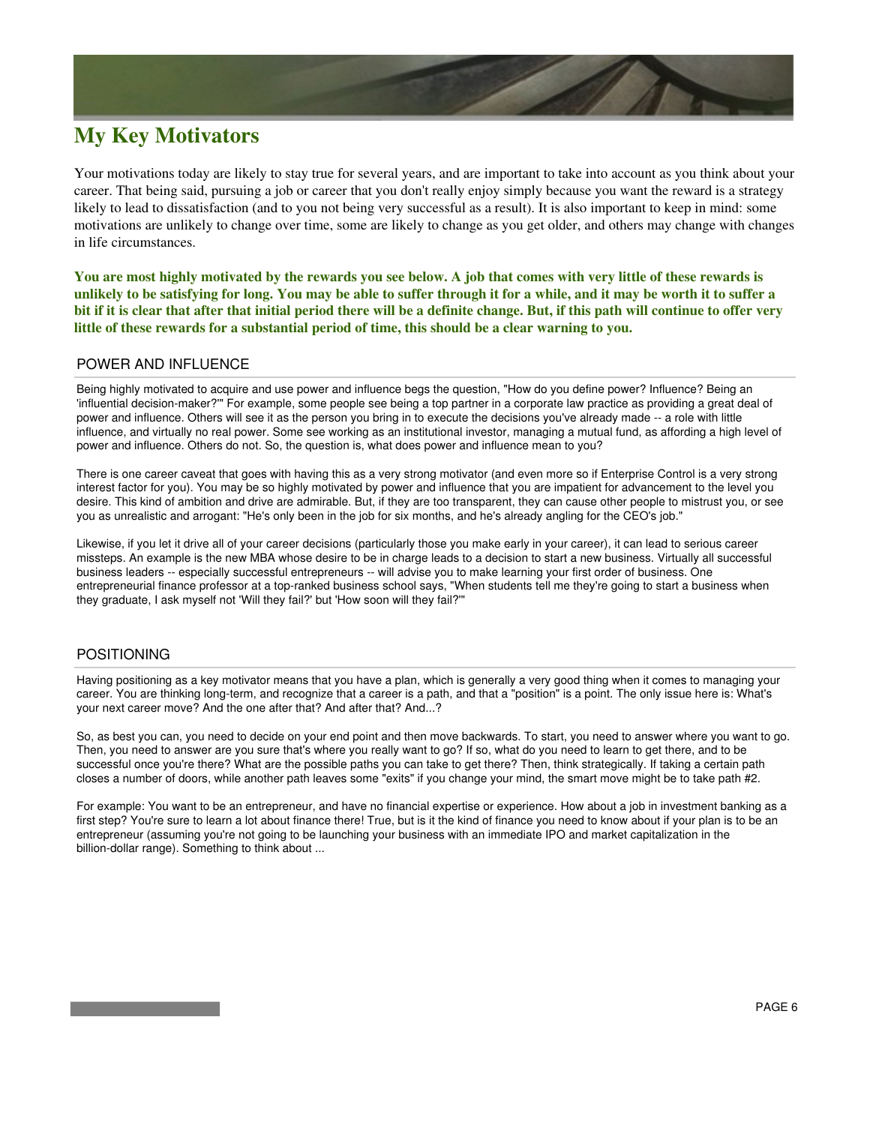### **My Key Motivators**

Your motivations today are likely to stay true for several years, and are important to take into account as you think about your career. That being said, pursuing a job or career that you don't really enjoy simply because you want the reward is a strategy likely to lead to dissatisfaction (and to you not being very successful as a result). It is also important to keep in mind: some motivations are unlikely to change over time, some are likely to change as you get older, and others may change with changes in life circumstances.

**You are most highly motivated by the rewards you see below. A job that comes with very little of these rewards is unlikely to be satisfying for long. You may be able to suffer through it for a while, and it may be worth it to suffer a bit if it is clear that after that initial period there will be a definite change. But, if this path will continue to offer very little of these rewards for a substantial period of time, this should be a clear warning to you.**

#### POWER AND INFLUENCE

Being highly motivated to acquire and use power and influence begs the question, "How do you define power? Influence? Being an 'influential decision-maker?'" For example, some people see being a top partner in a corporate law practice as providing a great deal of power and influence. Others will see it as the person you bring in to execute the decisions you've already made -- a role with little influence, and virtually no real power. Some see working as an institutional investor, managing a mutual fund, as affording a high level of power and influence. Others do not. So, the question is, what does power and influence mean to you?

There is one career caveat that goes with having this as a very strong motivator (and even more so if Enterprise Control is a very strong interest factor for you). You may be so highly motivated by power and influence that you are impatient for advancement to the level you desire. This kind of ambition and drive are admirable. But, if they are too transparent, they can cause other people to mistrust you, or see you as unrealistic and arrogant: "He's only been in the job for six months, and he's already angling for the CEO's job."

Likewise, if you let it drive all of your career decisions (particularly those you make early in your career), it can lead to serious career missteps. An example is the new MBA whose desire to be in charge leads to a decision to start a new business. Virtually all successful business leaders -- especially successful entrepreneurs -- will advise you to make learning your first order of business. One entrepreneurial finance professor at a top-ranked business school says, "When students tell me they're going to start a business when they graduate, I ask myself not 'Will they fail?' but 'How soon will they fail?'"

#### POSITIONING

Having positioning as a key motivator means that you have a plan, which is generally a very good thing when it comes to managing your career. You are thinking long-term, and recognize that a career is a path, and that a "position" is a point. The only issue here is: What's your next career move? And the one after that? And after that? And...?

So, as best you can, you need to decide on your end point and then move backwards. To start, you need to answer where you want to go. Then, you need to answer are you sure that's where you really want to go? If so, what do you need to learn to get there, and to be successful once you're there? What are the possible paths you can take to get there? Then, think strategically. If taking a certain path closes a number of doors, while another path leaves some "exits" if you change your mind, the smart move might be to take path #2.

For example: You want to be an entrepreneur, and have no financial expertise or experience. How about a job in investment banking as a first step? You're sure to learn a lot about finance there! True, but is it the kind of finance you need to know about if your plan is to be an entrepreneur (assuming you're not going to be launching your business with an immediate IPO and market capitalization in the billion-dollar range). Something to think about ...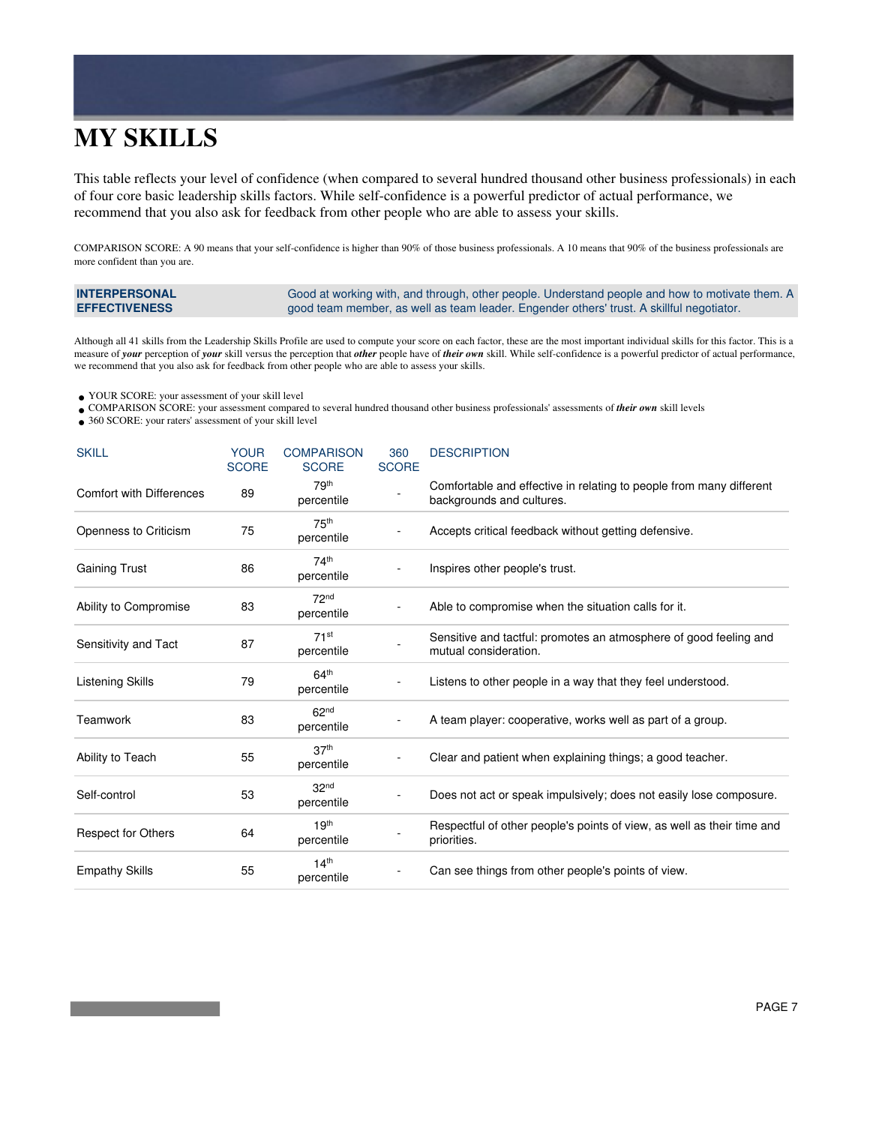# **MY SKILLS**

This table reflects your level of confidence (when compared to several hundred thousand other business professionals) in each of four core basic leadership skills factors. While self-confidence is a powerful predictor of actual performance, we recommend that you also ask for feedback from other people who are able to assess your skills.

COMPARISON SCORE: A 90 means that your self-confidence is higher than 90% of those business professionals. A 10 means that 90% of the business professionals are more confident than you are.

| <b>INTERPERSONAL</b> | Good at working with, and through, other people. Understand people and how to motivate them. A |
|----------------------|------------------------------------------------------------------------------------------------|
| <b>EFFECTIVENESS</b> | good team member, as well as team leader. Engender others' trust. A skillful negotiator.       |

Although all 41 skills from the Leadership Skills Profile are used to compute your score on each factor, these are the most important individual skills for this factor. This is a measure of *your* perception of *your* skill versus the perception that *other* people have of *their own* skill. While self-confidence is a powerful predictor of actual performance, we recommend that you also ask for feedback from other people who are able to assess your skills.

- YOUR SCORE: your assessment of your skill level •
- COMPARISON SCORE: your assessment compared to several hundred thousand other business professionals' assessments of *their own* skill levels •
- 360 SCORE: your raters' assessment of your skill level •

| <b>SKILL</b>                    | <b>YOUR</b><br><b>SCORE</b> | <b>COMPARISON</b><br><b>SCORE</b> | 360<br><b>SCORE</b> | <b>DESCRIPTION</b>                                                                               |
|---------------------------------|-----------------------------|-----------------------------------|---------------------|--------------------------------------------------------------------------------------------------|
| <b>Comfort with Differences</b> | 89                          | 79 <sup>th</sup><br>percentile    |                     | Comfortable and effective in relating to people from many different<br>backgrounds and cultures. |
| Openness to Criticism           | 75                          | 75th<br>percentile                |                     | Accepts critical feedback without getting defensive.                                             |
| <b>Gaining Trust</b>            | 86                          | 74th<br>percentile                |                     | Inspires other people's trust.                                                                   |
| Ability to Compromise           | 83                          | 72 <sup>nd</sup><br>percentile    |                     | Able to compromise when the situation calls for it.                                              |
| Sensitivity and Tact            | 87                          | $71$ st<br>percentile             |                     | Sensitive and tactful: promotes an atmosphere of good feeling and<br>mutual consideration.       |
| <b>Listening Skills</b>         | 79                          | 64 <sup>th</sup><br>percentile    |                     | Listens to other people in a way that they feel understood.                                      |
| Teamwork                        | 83                          | 62 <sup>nd</sup><br>percentile    |                     | A team player: cooperative, works well as part of a group.                                       |
| Ability to Teach                | 55                          | 37 <sup>th</sup><br>percentile    |                     | Clear and patient when explaining things; a good teacher.                                        |
| Self-control                    | 53                          | 32 <sub>nd</sub><br>percentile    |                     | Does not act or speak impulsively; does not easily lose composure.                               |
| <b>Respect for Others</b>       | 64                          | 19 <sup>th</sup><br>percentile    |                     | Respectful of other people's points of view, as well as their time and<br>priorities.            |
| <b>Empathy Skills</b>           | 55                          | 14 <sup>th</sup><br>percentile    |                     | Can see things from other people's points of view.                                               |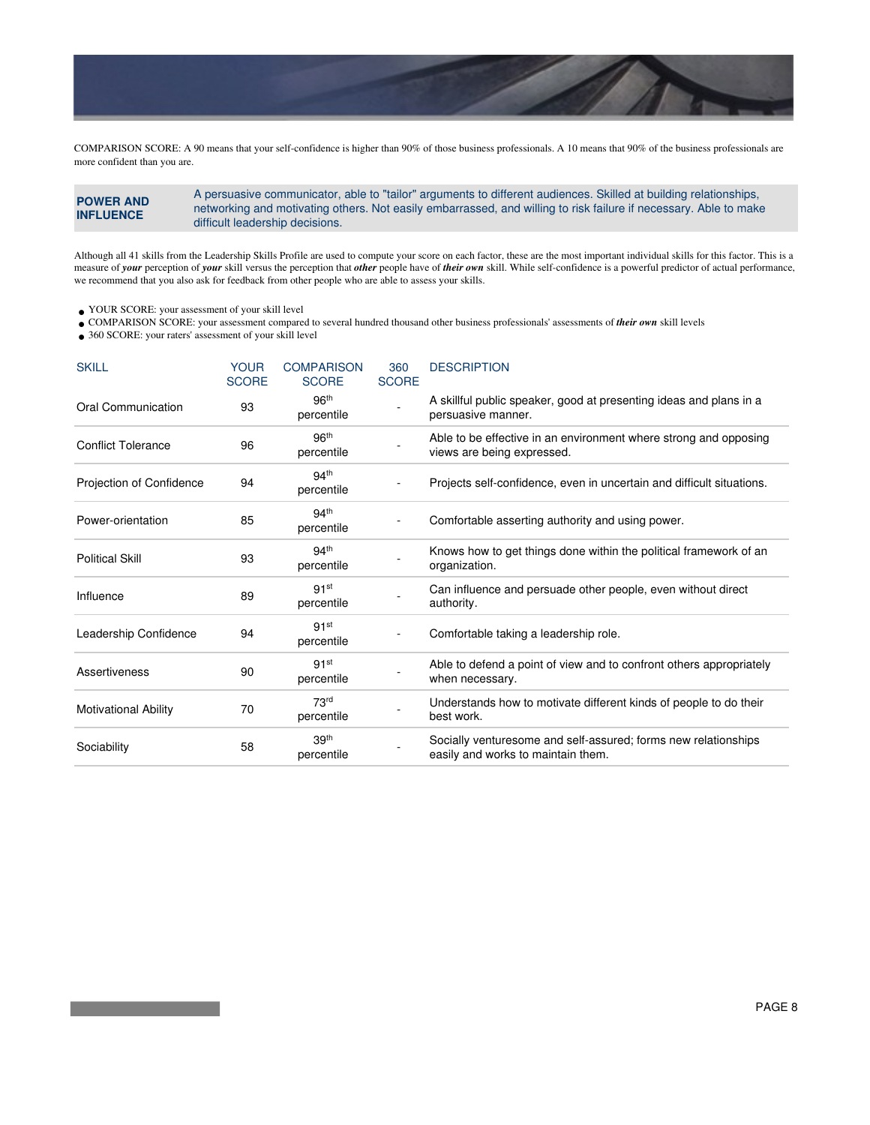

COMPARISON SCORE: A 90 means that your self-confidence is higher than 90% of those business professionals. A 10 means that 90% of the business professionals are more confident than you are.

**POWER AND INFLUENCE** A persuasive communicator, able to "tailor" arguments to different audiences. Skilled at building relationships, networking and motivating others. Not easily embarrassed, and willing to risk failure if necessary. Able to make difficult leadership decisions.

Although all 41 skills from the Leadership Skills Profile are used to compute your score on each factor, these are the most important individual skills for this factor. This is a measure of *your* perception of *your* skill versus the perception that *other* people have of *their own* skill. While self-confidence is a powerful predictor of actual performance, we recommend that you also ask for feedback from other people who are able to assess your skills.

YOUR SCORE: your assessment of your skill level •

COMPARISON SCORE: your assessment compared to several hundred thousand other business professionals' assessments of *their own* skill levels •

360 SCORE: your raters' assessment of your skill level •

| <b>SKILL</b>                | <b>YOUR</b><br><b>SCORE</b> | <b>COMPARISON</b><br><b>SCORE</b> | 360<br><b>SCORE</b> | <b>DESCRIPTION</b>                                                                                   |
|-----------------------------|-----------------------------|-----------------------------------|---------------------|------------------------------------------------------------------------------------------------------|
| Oral Communication          | 93                          | 96 <sup>th</sup><br>percentile    |                     | A skillful public speaker, good at presenting ideas and plans in a<br>persuasive manner.             |
| <b>Conflict Tolerance</b>   | 96                          | 96 <sup>th</sup><br>percentile    |                     | Able to be effective in an environment where strong and opposing<br>views are being expressed.       |
| Projection of Confidence    | 94                          | 94 <sup>th</sup><br>percentile    |                     | Projects self-confidence, even in uncertain and difficult situations.                                |
| Power-orientation           | 85                          | 94 <sup>th</sup><br>percentile    |                     | Comfortable asserting authority and using power.                                                     |
| <b>Political Skill</b>      | 93                          | 94 <sup>th</sup><br>percentile    |                     | Knows how to get things done within the political framework of an<br>organization.                   |
| Influence                   | 89                          | 91 <sup>st</sup><br>percentile    |                     | Can influence and persuade other people, even without direct<br>authority.                           |
| Leadership Confidence       | 94                          | 91 <sup>st</sup><br>percentile    |                     | Comfortable taking a leadership role.                                                                |
| <b>Assertiveness</b>        | 90                          | 91 <sup>st</sup><br>percentile    |                     | Able to defend a point of view and to confront others appropriately<br>when necessary.               |
| <b>Motivational Ability</b> | 70                          | 73 <sup>rd</sup><br>percentile    |                     | Understands how to motivate different kinds of people to do their<br>best work.                      |
| Sociability                 | 58                          | 39th<br>percentile                |                     | Socially venturesome and self-assured; forms new relationships<br>easily and works to maintain them. |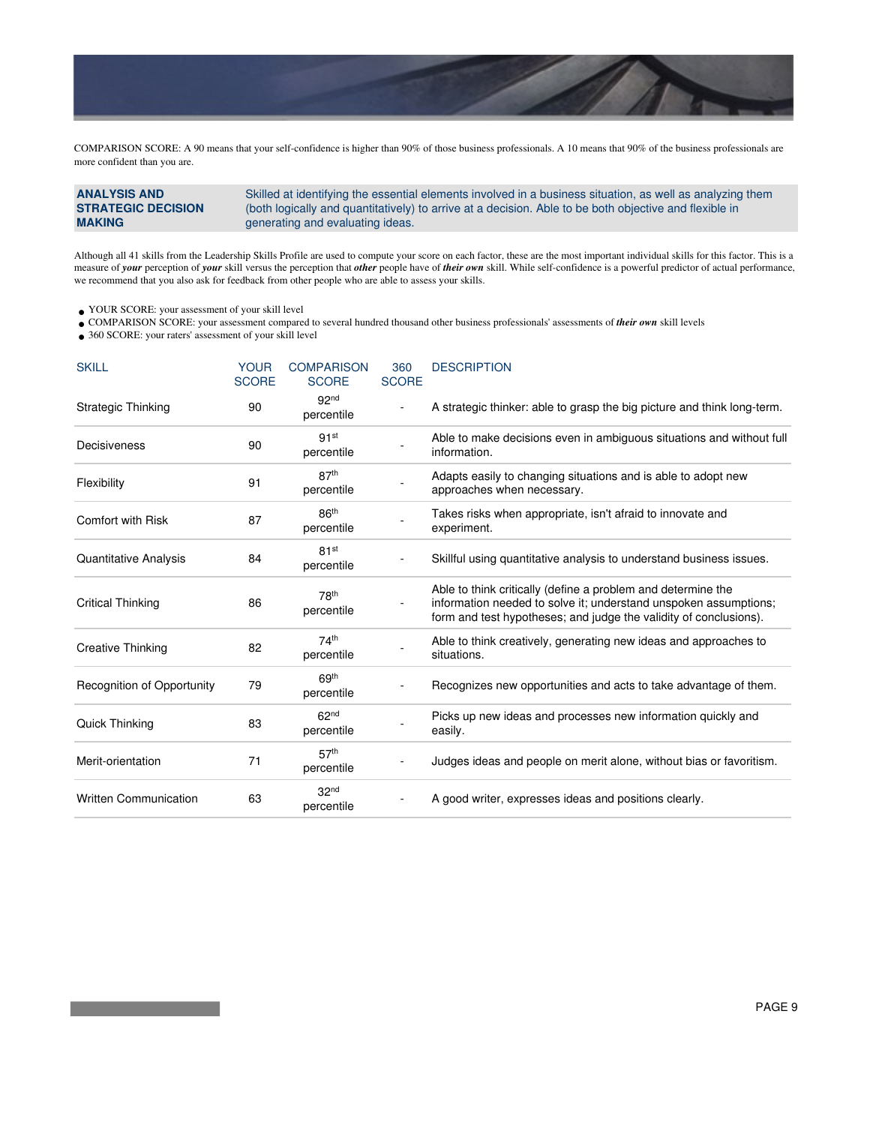

COMPARISON SCORE: A 90 means that your self-confidence is higher than 90% of those business professionals. A 10 means that 90% of the business professionals are more confident than you are.

**ANALYSIS AND STRATEGIC DECISION MAKING** Skilled at identifying the essential elements involved in a business situation, as well as analyzing them (both logically and quantitatively) to arrive at a decision. Able to be both objective and flexible in generating and evaluating ideas.

Although all 41 skills from the Leadership Skills Profile are used to compute your score on each factor, these are the most important individual skills for this factor. This is a measure of *your* perception of *your* skill versus the perception that *other* people have of *their own* skill. While self-confidence is a powerful predictor of actual performance, we recommend that you also ask for feedback from other people who are able to assess your skills.

YOUR SCORE: your assessment of your skill level •

COMPARISON SCORE: your assessment compared to several hundred thousand other business professionals' assessments of *their own* skill levels •

360 SCORE: your raters' assessment of your skill level •

| <b>SKILL</b>                      | <b>YOUR</b><br><b>SCORE</b> | <b>COMPARISON</b><br><b>SCORE</b> | 360<br><b>SCORE</b> | <b>DESCRIPTION</b>                                                                                                                                                                                    |
|-----------------------------------|-----------------------------|-----------------------------------|---------------------|-------------------------------------------------------------------------------------------------------------------------------------------------------------------------------------------------------|
| Strategic Thinking                | 90                          | 92 <sup>nd</sup><br>percentile    |                     | A strategic thinker: able to grasp the big picture and think long-term.                                                                                                                               |
| Decisiveness                      | 90                          | 91 <sup>st</sup><br>percentile    |                     | Able to make decisions even in ambiguous situations and without full<br>information.                                                                                                                  |
| Flexibility                       | 91                          | 87 <sup>th</sup><br>percentile    |                     | Adapts easily to changing situations and is able to adopt new<br>approaches when necessary.                                                                                                           |
| <b>Comfort with Risk</b>          | 87                          | 86 <sup>th</sup><br>percentile    |                     | Takes risks when appropriate, isn't afraid to innovate and<br>experiment.                                                                                                                             |
| Quantitative Analysis             | 84                          | 81 <sup>st</sup><br>percentile    |                     | Skillful using quantitative analysis to understand business issues.                                                                                                                                   |
| Critical Thinking                 | 86                          | 78 <sup>th</sup><br>percentile    |                     | Able to think critically (define a problem and determine the<br>information needed to solve it; understand unspoken assumptions;<br>form and test hypotheses; and judge the validity of conclusions). |
| Creative Thinking                 | 82                          | 74 <sup>th</sup><br>percentile    |                     | Able to think creatively, generating new ideas and approaches to<br>situations.                                                                                                                       |
| <b>Recognition of Opportunity</b> | 79                          | 69 <sup>th</sup><br>percentile    |                     | Recognizes new opportunities and acts to take advantage of them.                                                                                                                                      |
| Quick Thinking                    | 83                          | 62 <sup>nd</sup><br>percentile    |                     | Picks up new ideas and processes new information quickly and<br>easily.                                                                                                                               |
| Merit-orientation                 | 71                          | 57 <sup>th</sup><br>percentile    |                     | Judges ideas and people on merit alone, without bias or favoritism.                                                                                                                                   |
| <b>Written Communication</b>      | 63                          | 32 <sup>nd</sup><br>percentile    |                     | A good writer, expresses ideas and positions clearly.                                                                                                                                                 |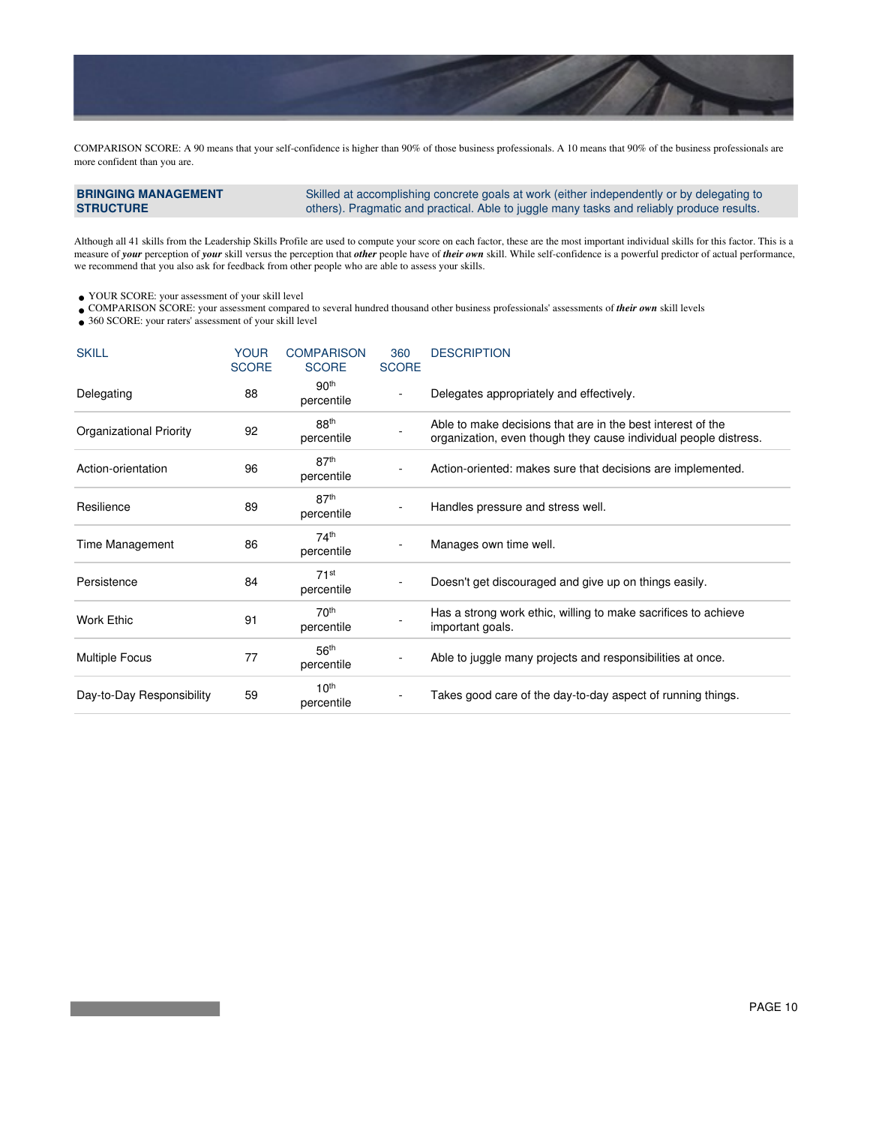

COMPARISON SCORE: A 90 means that your self-confidence is higher than 90% of those business professionals. A 10 means that 90% of the business professionals are more confident than you are.

**BRINGING MANAGEMENT STRUCTURE** Skilled at accomplishing concrete goals at work (either independently or by delegating to others). Pragmatic and practical. Able to juggle many tasks and reliably produce results.

Although all 41 skills from the Leadership Skills Profile are used to compute your score on each factor, these are the most important individual skills for this factor. This is a measure of *your* perception of *your* skill versus the perception that *other* people have of *their own* skill. While self-confidence is a powerful predictor of actual performance, we recommend that you also ask for feedback from other people who are able to assess your skills.

 $\bullet$  YOUR SCORE: your assessment of your skill level

COMPARISON SCORE: your assessment compared to several hundred thousand other business professionals' assessments of *their own* skill levels •

• 360 SCORE: your raters' assessment of your skill level

| <b>SKILL</b>                   | <b>YOUR</b><br><b>SCORE</b> | <b>COMPARISON</b><br><b>SCORE</b> | 360<br><b>SCORE</b> | <b>DESCRIPTION</b>                                                                                                              |
|--------------------------------|-----------------------------|-----------------------------------|---------------------|---------------------------------------------------------------------------------------------------------------------------------|
| Delegating                     | 88                          | 90 <sup>th</sup><br>percentile    |                     | Delegates appropriately and effectively.                                                                                        |
| <b>Organizational Priority</b> | 92                          | 88 <sup>th</sup><br>percentile    |                     | Able to make decisions that are in the best interest of the<br>organization, even though they cause individual people distress. |
| Action-orientation             | 96                          | 87 <sup>th</sup><br>percentile    |                     | Action-oriented: makes sure that decisions are implemented.                                                                     |
| Resilience                     | 89                          | 87 <sup>th</sup><br>percentile    |                     | Handles pressure and stress well.                                                                                               |
| Time Management                | 86                          | 74 <sup>th</sup><br>percentile    |                     | Manages own time well.                                                                                                          |
| Persistence                    | 84                          | 71 <sup>st</sup><br>percentile    |                     | Doesn't get discouraged and give up on things easily.                                                                           |
| <b>Work Ethic</b>              | 91                          | 70 <sup>th</sup><br>percentile    |                     | Has a strong work ethic, willing to make sacrifices to achieve<br>important goals.                                              |
| <b>Multiple Focus</b>          | 77                          | 56 <sup>th</sup><br>percentile    |                     | Able to juggle many projects and responsibilities at once.                                                                      |
| Day-to-Day Responsibility      | 59                          | 10 <sup>th</sup><br>percentile    |                     | Takes good care of the day-to-day aspect of running things.                                                                     |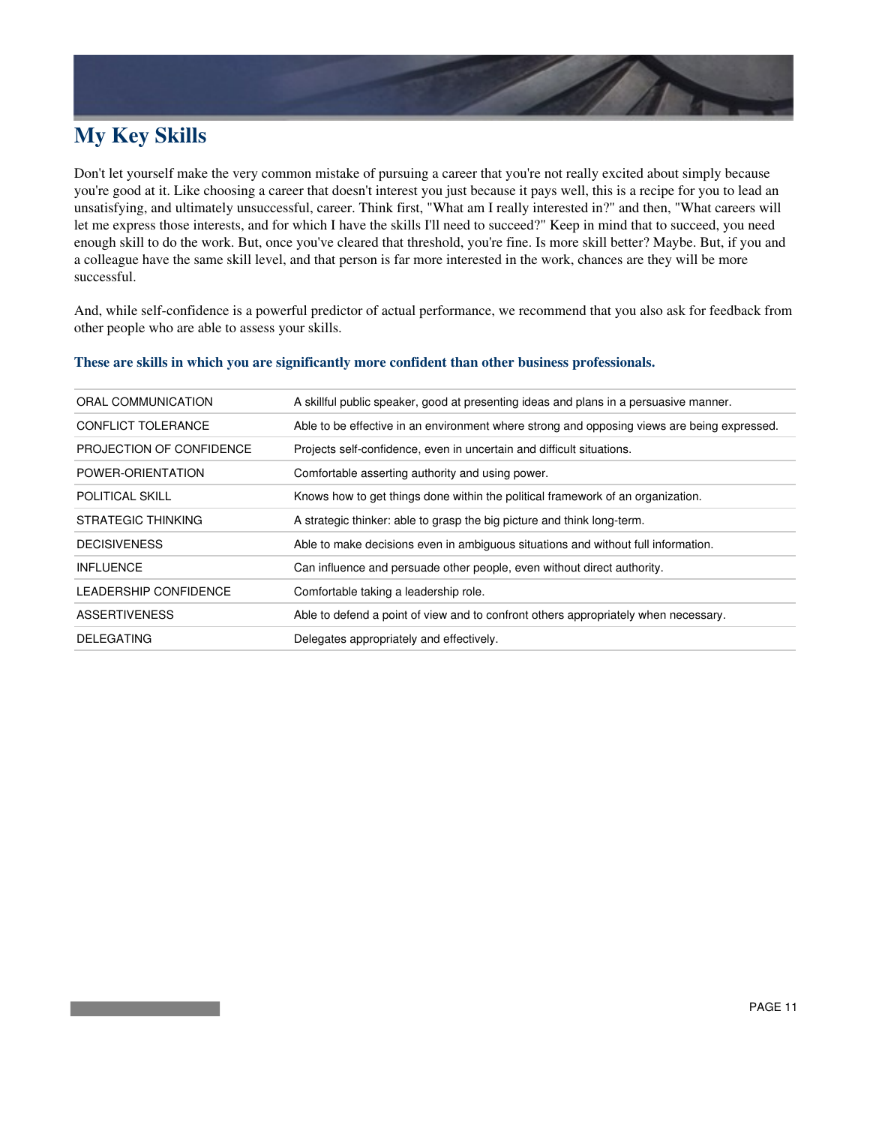### **My Key Skills**

Don't let yourself make the very common mistake of pursuing a career that you're not really excited about simply because you're good at it. Like choosing a career that doesn't interest you just because it pays well, this is a recipe for you to lead an unsatisfying, and ultimately unsuccessful, career. Think first, "What am I really interested in?" and then, "What careers will let me express those interests, and for which I have the skills I'll need to succeed?" Keep in mind that to succeed, you need enough skill to do the work. But, once you've cleared that threshold, you're fine. Is more skill better? Maybe. But, if you and a colleague have the same skill level, and that person is far more interested in the work, chances are they will be more successful.

And, while self-confidence is a powerful predictor of actual performance, we recommend that you also ask for feedback from other people who are able to assess your skills.

| ORAL COMMUNICATION        | A skillful public speaker, good at presenting ideas and plans in a persuasive manner.       |
|---------------------------|---------------------------------------------------------------------------------------------|
| <b>CONFLICT TOLERANCE</b> | Able to be effective in an environment where strong and opposing views are being expressed. |
| PROJECTION OF CONFIDENCE  | Projects self-confidence, even in uncertain and difficult situations.                       |
| POWER-ORIENTATION         | Comfortable asserting authority and using power.                                            |
| <b>POLITICAL SKILL</b>    | Knows how to get things done within the political framework of an organization.             |
| STRATEGIC THINKING        | A strategic thinker: able to grasp the big picture and think long-term.                     |
| <b>DECISIVENESS</b>       | Able to make decisions even in ambiguous situations and without full information.           |
| <b>INFLUENCE</b>          | Can influence and persuade other people, even without direct authority.                     |
| LEADERSHIP CONFIDENCE     | Comfortable taking a leadership role.                                                       |
| <b>ASSERTIVENESS</b>      | Able to defend a point of view and to confront others appropriately when necessary.         |
| <b>DELEGATING</b>         | Delegates appropriately and effectively.                                                    |

#### **These are skills in which you are significantly more confident than other business professionals.**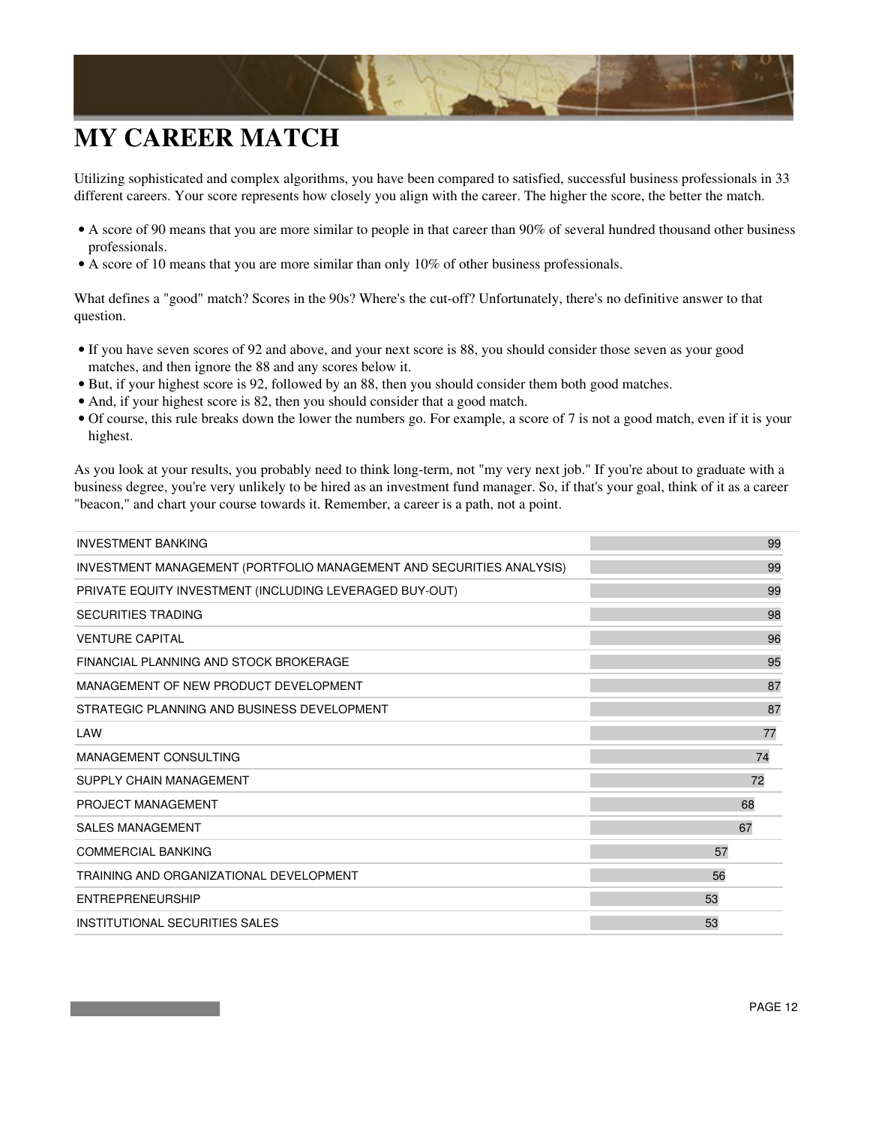

## **MY CAREER MATCH**

Utilizing sophisticated and complex algorithms, you have been compared to satisfied, successful business professionals in 33 different careers. Your score represents how closely you align with the career. The higher the score, the better the match.

- A score of 90 means that you are more similar to people in that career than 90% of several hundred thousand other business professionals.
- A score of 10 means that you are more similar than only 10% of other business professionals.

What defines a "good" match? Scores in the 90s? Where's the cut-off? Unfortunately, there's no definitive answer to that question.

- If you have seven scores of 92 and above, and your next score is 88, you should consider those seven as your good matches, and then ignore the 88 and any scores below it.
- But, if your highest score is 92, followed by an 88, then you should consider them both good matches.
- And, if your highest score is 82, then you should consider that a good match.
- Of course, this rule breaks down the lower the numbers go. For example, a score of 7 is not a good match, even if it is your highest.

As you look at your results, you probably need to think long-term, not "my very next job." If you're about to graduate with a business degree, you're very unlikely to be hired as an investment fund manager. So, if that's your goal, think of it as a career "beacon," and chart your course towards it. Remember, a career is a path, not a point.

| <b>INVESTMENT BANKING</b>                                            | 99 |
|----------------------------------------------------------------------|----|
| INVESTMENT MANAGEMENT (PORTFOLIO MANAGEMENT AND SECURITIES ANALYSIS) | 99 |
| PRIVATE EQUITY INVESTMENT (INCLUDING LEVERAGED BUY-OUT)              | 99 |
| <b>SECURITIES TRADING</b>                                            | 98 |
| <b>VENTURE CAPITAL</b>                                               | 96 |
| FINANCIAL PLANNING AND STOCK BROKERAGE                               | 95 |
| MANAGEMENT OF NEW PRODUCT DEVELOPMENT                                | 87 |
| STRATEGIC PLANNING AND BUSINESS DEVELOPMENT                          | 87 |
| LAW                                                                  | 77 |
| MANAGEMENT CONSULTING                                                | 74 |
| SUPPLY CHAIN MANAGEMENT                                              | 72 |
| PROJECT MANAGEMENT                                                   | 68 |
| <b>SALES MANAGEMENT</b>                                              | 67 |
| <b>COMMERCIAL BANKING</b>                                            | 57 |
| TRAINING AND ORGANIZATIONAL DEVELOPMENT                              | 56 |
| <b>ENTREPRENEURSHIP</b>                                              | 53 |
| INSTITUTIONAL SECURITIES SALES                                       | 53 |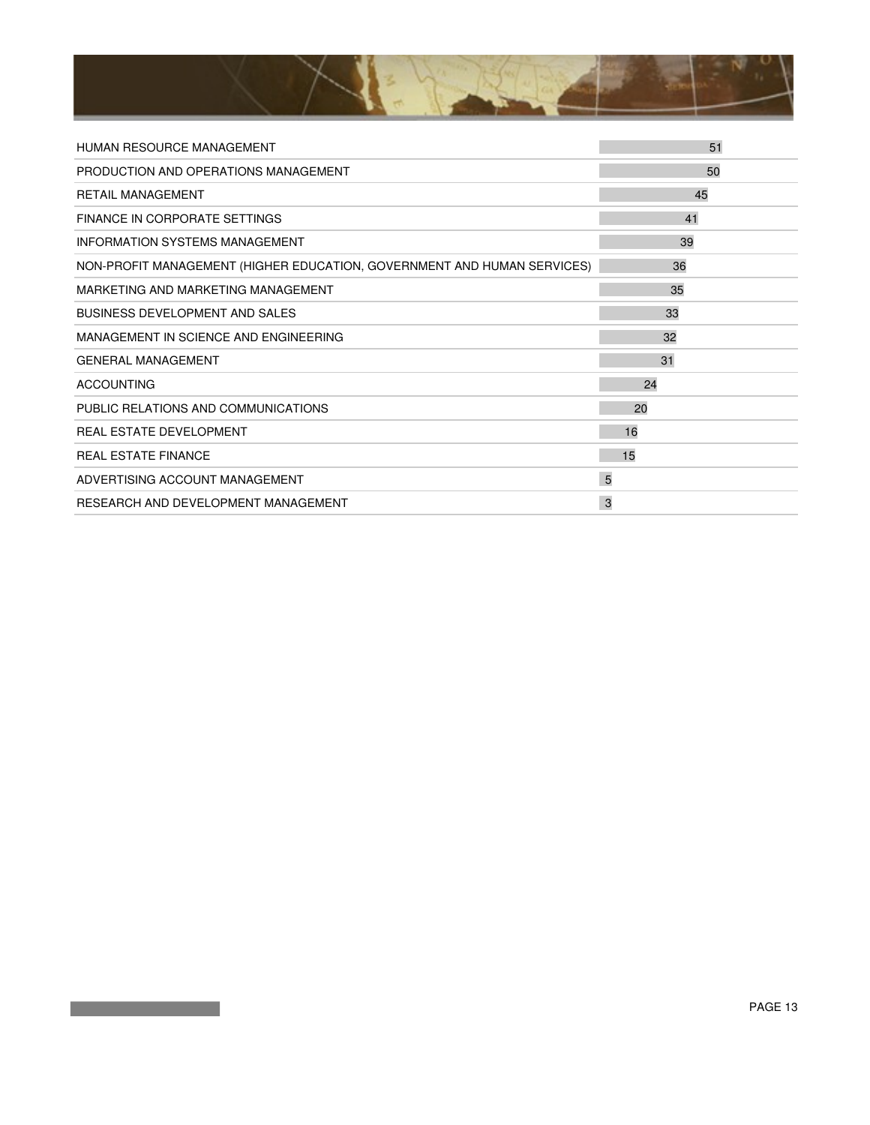

| HUMAN RESOURCE MANAGEMENT                                               | 51 |
|-------------------------------------------------------------------------|----|
| PRODUCTION AND OPERATIONS MANAGEMENT                                    | 50 |
| <b>RETAIL MANAGEMENT</b>                                                | 45 |
| FINANCE IN CORPORATE SETTINGS                                           | 41 |
| <b>INFORMATION SYSTEMS MANAGEMENT</b>                                   | 39 |
| NON-PROFIT MANAGEMENT (HIGHER EDUCATION, GOVERNMENT AND HUMAN SERVICES) | 36 |
| MARKETING AND MARKETING MANAGEMENT                                      | 35 |
| <b>BUSINESS DEVELOPMENT AND SALES</b>                                   | 33 |
| MANAGEMENT IN SCIENCE AND ENGINEERING                                   | 32 |
| <b>GENERAL MANAGEMENT</b>                                               | 31 |
| <b>ACCOUNTING</b>                                                       | 24 |
| PUBLIC RELATIONS AND COMMUNICATIONS                                     | 20 |
| REAL ESTATE DEVELOPMENT                                                 | 16 |
| <b>REAL ESTATE FINANCE</b>                                              | 15 |
| ADVERTISING ACCOUNT MANAGEMENT                                          | 5  |
| RESEARCH AND DEVELOPMENT MANAGEMENT                                     | 3  |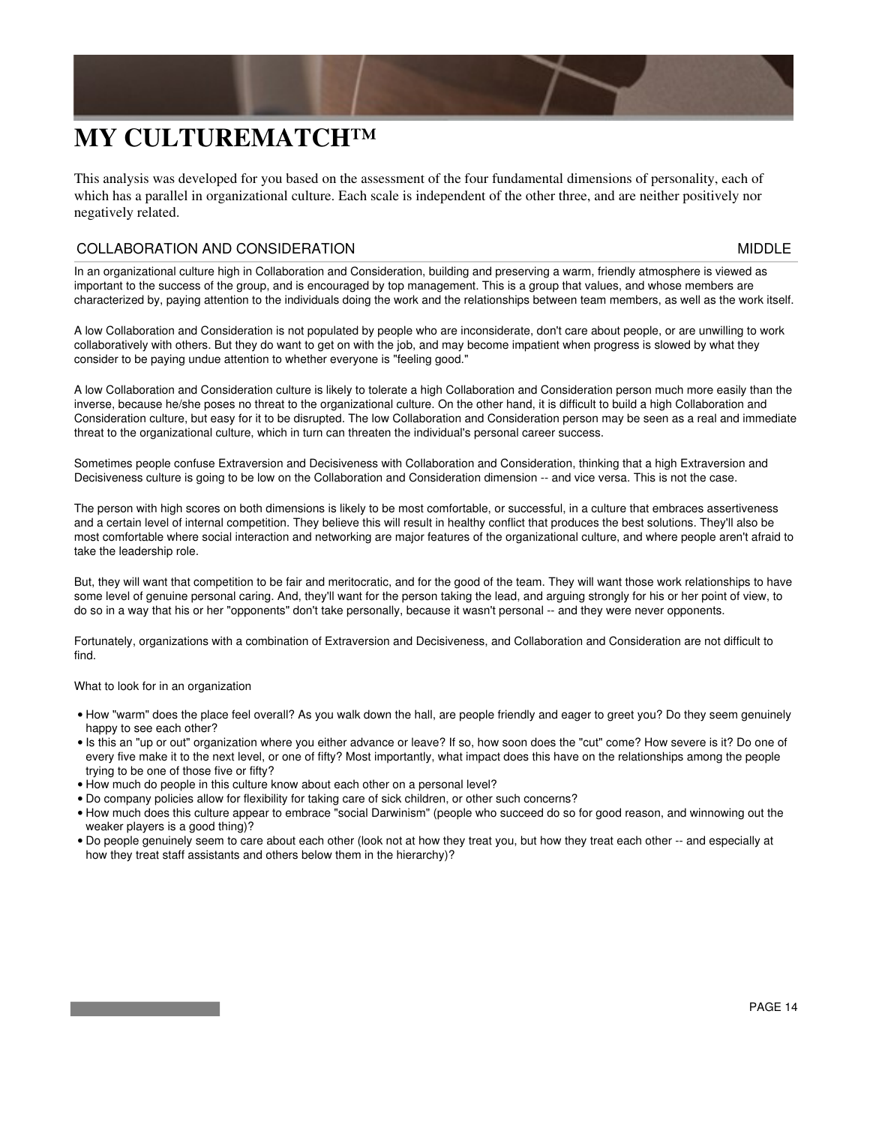

## **MY CULTUREMATCH™**

This analysis was developed for you based on the assessment of the four fundamental dimensions of personality, each of which has a parallel in organizational culture. Each scale is independent of the other three, and are neither positively nor negatively related.

#### COLLABORATION AND CONSIDERATION MIDDLE

In an organizational culture high in Collaboration and Consideration, building and preserving a warm, friendly atmosphere is viewed as important to the success of the group, and is encouraged by top management. This is a group that values, and whose members are characterized by, paying attention to the individuals doing the work and the relationships between team members, as well as the work itself.

A low Collaboration and Consideration is not populated by people who are inconsiderate, don't care about people, or are unwilling to work collaboratively with others. But they do want to get on with the job, and may become impatient when progress is slowed by what they consider to be paying undue attention to whether everyone is "feeling good."

A low Collaboration and Consideration culture is likely to tolerate a high Collaboration and Consideration person much more easily than the inverse, because he/she poses no threat to the organizational culture. On the other hand, it is difficult to build a high Collaboration and Consideration culture, but easy for it to be disrupted. The low Collaboration and Consideration person may be seen as a real and immediate threat to the organizational culture, which in turn can threaten the individual's personal career success.

Sometimes people confuse Extraversion and Decisiveness with Collaboration and Consideration, thinking that a high Extraversion and Decisiveness culture is going to be low on the Collaboration and Consideration dimension -- and vice versa. This is not the case.

The person with high scores on both dimensions is likely to be most comfortable, or successful, in a culture that embraces assertiveness and a certain level of internal competition. They believe this will result in healthy conflict that produces the best solutions. They'll also be most comfortable where social interaction and networking are major features of the organizational culture, and where people aren't afraid to take the leadership role.

But, they will want that competition to be fair and meritocratic, and for the good of the team. They will want those work relationships to have some level of genuine personal caring. And, they'll want for the person taking the lead, and arguing strongly for his or her point of view, to do so in a way that his or her "opponents" don't take personally, because it wasn't personal -- and they were never opponents.

Fortunately, organizations with a combination of Extraversion and Decisiveness, and Collaboration and Consideration are not difficult to find.

- $\bullet$  How "warm" does the place feel overall? As you walk down the hall, are people friendly and eager to greet you? Do they seem genuinely happy to see each other?
- Is this an "up or out" organization where you either advance or leave? If so, how soon does the "cut" come? How severe is it? Do one of every five make it to the next level, or one of fifty? Most importantly, what impact does this have on the relationships among the people trying to be one of those five or fifty?
- How much do people in this culture know about each other on a personal level?
- Do company policies allow for flexibility for taking care of sick children, or other such concerns?
- How much does this culture appear to embrace "social Darwinism" (people who succeed do so for good reason, and winnowing out the weaker players is a good thing)?
- Do people genuinely seem to care about each other (look not at how they treat you, but how they treat each other -- and especially at how they treat staff assistants and others below them in the hierarchy)?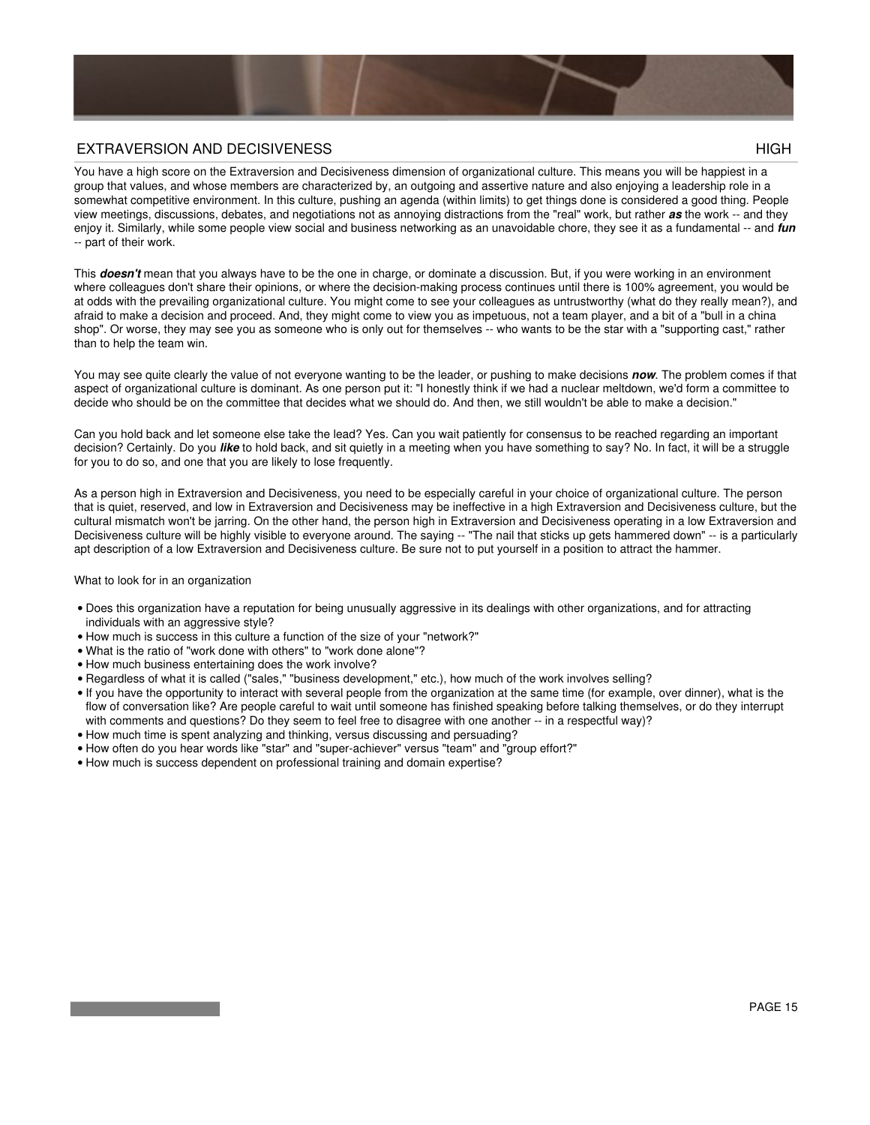

#### EXTRAVERSION AND DECISIVENESS HIGH

You have a high score on the Extraversion and Decisiveness dimension of organizational culture. This means you will be happiest in a group that values, and whose members are characterized by, an outgoing and assertive nature and also enjoying a leadership role in a somewhat competitive environment. In this culture, pushing an agenda (within limits) to get things done is considered a good thing. People view meetings, discussions, debates, and negotiations not as annoying distractions from the "real" work, but rather *as* the work -- and they enjoy it. Similarly, while some people view social and business networking as an unavoidable chore, they see it as a fundamental -- and *fun* -- part of their work.

This *doesn't* mean that you always have to be the one in charge, or dominate a discussion. But, if you were working in an environment where colleagues don't share their opinions, or where the decision-making process continues until there is 100% agreement, you would be at odds with the prevailing organizational culture. You might come to see your colleagues as untrustworthy (what do they really mean?), and afraid to make a decision and proceed. And, they might come to view you as impetuous, not a team player, and a bit of a "bull in a china shop". Or worse, they may see you as someone who is only out for themselves -- who wants to be the star with a "supporting cast," rather than to help the team win.

You may see quite clearly the value of not everyone wanting to be the leader, or pushing to make decisions *now*. The problem comes if that aspect of organizational culture is dominant. As one person put it: "I honestly think if we had a nuclear meltdown, we'd form a committee to decide who should be on the committee that decides what we should do. And then, we still wouldn't be able to make a decision."

Can you hold back and let someone else take the lead? Yes. Can you wait patiently for consensus to be reached regarding an important decision? Certainly. Do you *like* to hold back, and sit quietly in a meeting when you have something to say? No. In fact, it will be a struggle for you to do so, and one that you are likely to lose frequently.

As a person high in Extraversion and Decisiveness, you need to be especially careful in your choice of organizational culture. The person that is quiet, reserved, and low in Extraversion and Decisiveness may be ineffective in a high Extraversion and Decisiveness culture, but the cultural mismatch won't be jarring. On the other hand, the person high in Extraversion and Decisiveness operating in a low Extraversion and Decisiveness culture will be highly visible to everyone around. The saying -- "The nail that sticks up gets hammered down" -- is a particularly apt description of a low Extraversion and Decisiveness culture. Be sure not to put yourself in a position to attract the hammer.

- Does this organization have a reputation for being unusually aggressive in its dealings with other organizations, and for attracting individuals with an aggressive style?
- How much is success in this culture a function of the size of your "network?"
- What is the ratio of "work done with others" to "work done alone"?
- How much business entertaining does the work involve?
- Regardless of what it is called ("sales," "business development," etc.), how much of the work involves selling?
- If you have the opportunity to interact with several people from the organization at the same time (for example, over dinner), what is the flow of conversation like? Are people careful to wait until someone has finished speaking before talking themselves, or do they interrupt with comments and questions? Do they seem to feel free to disagree with one another -- in a respectful way)?
- How much time is spent analyzing and thinking, versus discussing and persuading?
- How often do you hear words like "star" and "super-achiever" versus "team" and "group effort?"
- How much is success dependent on professional training and domain expertise?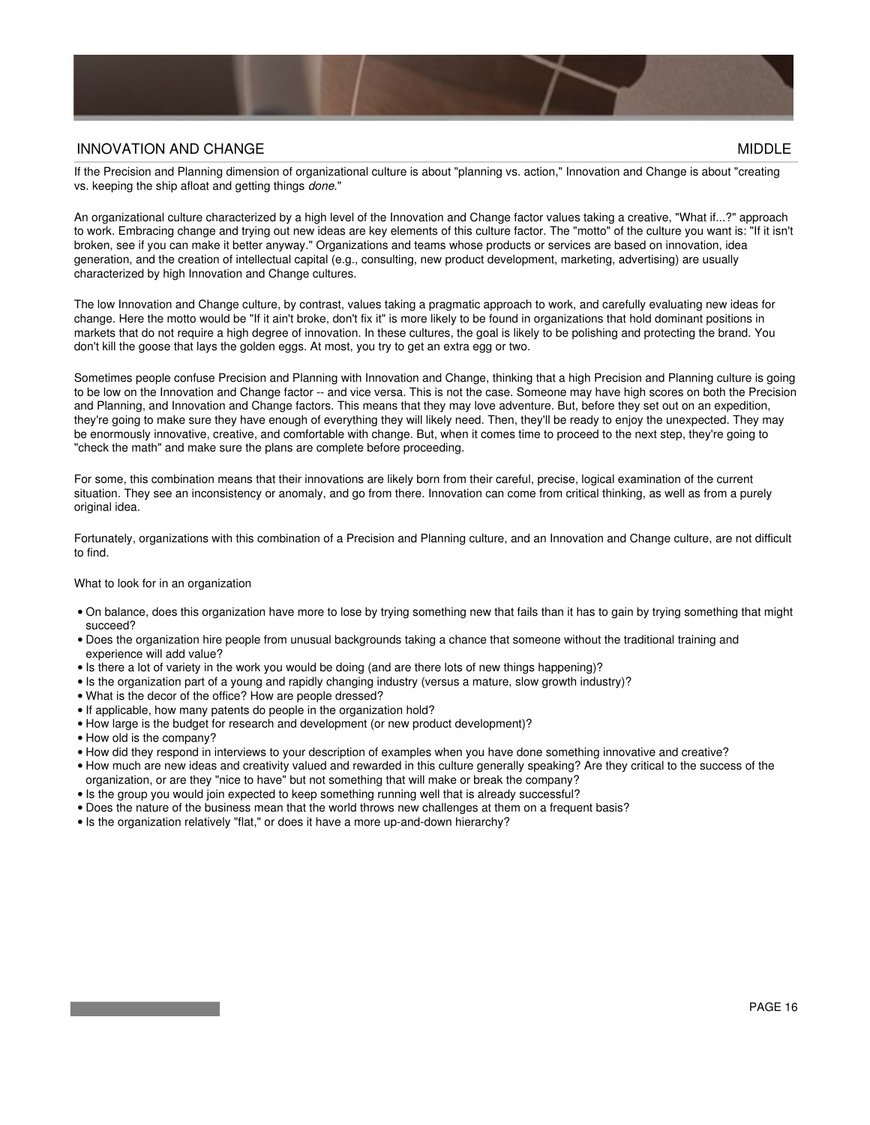

#### INNOVATION AND CHANGE **MIDDLE**

If the Precision and Planning dimension of organizational culture is about "planning vs. action," Innovation and Change is about "creating vs. keeping the ship afloat and getting things *done*."

An organizational culture characterized by a high level of the Innovation and Change factor values taking a creative, "What if...?" approach to work. Embracing change and trying out new ideas are key elements of this culture factor. The "motto" of the culture you want is: "If it isn't broken, see if you can make it better anyway." Organizations and teams whose products or services are based on innovation, idea generation, and the creation of intellectual capital (e.g., consulting, new product development, marketing, advertising) are usually characterized by high Innovation and Change cultures.

The low Innovation and Change culture, by contrast, values taking a pragmatic approach to work, and carefully evaluating new ideas for change. Here the motto would be "If it ain't broke, don't fix it" is more likely to be found in organizations that hold dominant positions in markets that do not require a high degree of innovation. In these cultures, the goal is likely to be polishing and protecting the brand. You don't kill the goose that lays the golden eggs. At most, you try to get an extra egg or two.

Sometimes people confuse Precision and Planning with Innovation and Change, thinking that a high Precision and Planning culture is going to be low on the Innovation and Change factor -- and vice versa. This is not the case. Someone may have high scores on both the Precision and Planning, and Innovation and Change factors. This means that they may love adventure. But, before they set out on an expedition, they're going to make sure they have enough of everything they will likely need. Then, they'll be ready to enjoy the unexpected. They may be enormously innovative, creative, and comfortable with change. But, when it comes time to proceed to the next step, they're going to "check the math" and make sure the plans are complete before proceeding.

For some, this combination means that their innovations are likely born from their careful, precise, logical examination of the current situation. They see an inconsistency or anomaly, and go from there. Innovation can come from critical thinking, as well as from a purely original idea.

Fortunately, organizations with this combination of a Precision and Planning culture, and an Innovation and Change culture, are not difficult to find.

- $\bullet$  On balance, does this organization have more to lose by trying something new that fails than it has to gain by trying something that might succeed?
- Does the organization hire people from unusual backgrounds taking a chance that someone without the traditional training and experience will add value?
- Is there a lot of variety in the work you would be doing (and are there lots of new things happening)?
- Is the organization part of a young and rapidly changing industry (versus a mature, slow growth industry)?
- What is the decor of the office? How are people dressed?
- If applicable, how many patents do people in the organization hold?
- How large is the budget for research and development (or new product development)?
- How old is the company?
- How did they respond in interviews to your description of examples when you have done something innovative and creative?
- How much are new ideas and creativity valued and rewarded in this culture generally speaking? Are they critical to the success of the organization, or are they "nice to have" but not something that will make or break the company?
- Is the group you would join expected to keep something running well that is already successful?
- Does the nature of the business mean that the world throws new challenges at them on a frequent basis?
- Is the organization relatively "flat," or does it have a more up-and-down hierarchy?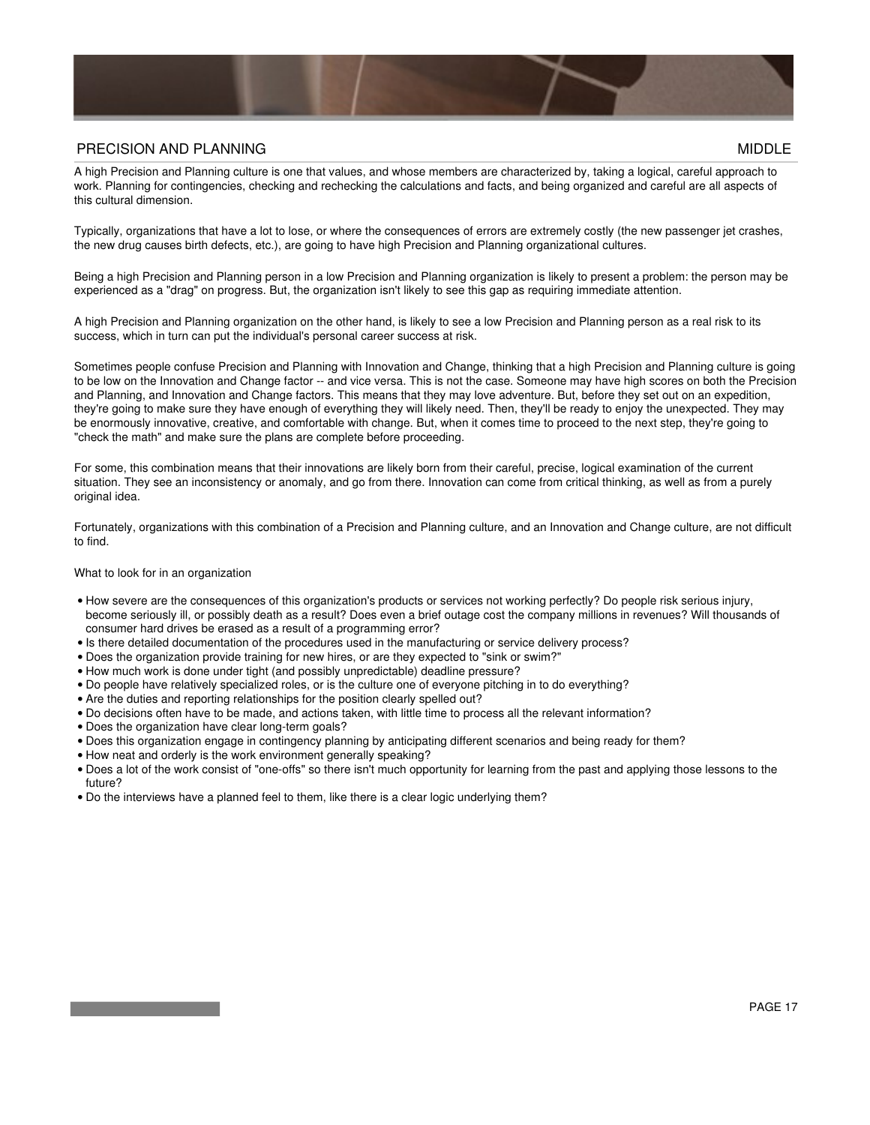

#### PRECISION AND PLANNING MIDDLE AND AND THE SERVICE OF THE SERVICE OF THE SERVICE OF THE SERVICE OF THE SERVICE OF THE SERVICE OF THE SERVICE OF THE SERVICE OF THE SERVICE OF THE SERVICE OF THE SERVICE OF THE SERVICE OF THE

A high Precision and Planning culture is one that values, and whose members are characterized by, taking a logical, careful approach to work. Planning for contingencies, checking and rechecking the calculations and facts, and being organized and careful are all aspects of this cultural dimension.

Typically, organizations that have a lot to lose, or where the consequences of errors are extremely costly (the new passenger jet crashes, the new drug causes birth defects, etc.), are going to have high Precision and Planning organizational cultures.

Being a high Precision and Planning person in a low Precision and Planning organization is likely to present a problem: the person may be experienced as a "drag" on progress. But, the organization isn't likely to see this gap as requiring immediate attention.

A high Precision and Planning organization on the other hand, is likely to see a low Precision and Planning person as a real risk to its success, which in turn can put the individual's personal career success at risk.

Sometimes people confuse Precision and Planning with Innovation and Change, thinking that a high Precision and Planning culture is going to be low on the Innovation and Change factor -- and vice versa. This is not the case. Someone may have high scores on both the Precision and Planning, and Innovation and Change factors. This means that they may love adventure. But, before they set out on an expedition, they're going to make sure they have enough of everything they will likely need. Then, they'll be ready to enjoy the unexpected. They may be enormously innovative, creative, and comfortable with change. But, when it comes time to proceed to the next step, they're going to "check the math" and make sure the plans are complete before proceeding.

For some, this combination means that their innovations are likely born from their careful, precise, logical examination of the current situation. They see an inconsistency or anomaly, and go from there. Innovation can come from critical thinking, as well as from a purely original idea.

Fortunately, organizations with this combination of a Precision and Planning culture, and an Innovation and Change culture, are not difficult to find.

- How severe are the consequences of this organization's products or services not working perfectly? Do people risk serious injury, become seriously ill, or possibly death as a result? Does even a brief outage cost the company millions in revenues? Will thousands of consumer hard drives be erased as a result of a programming error?
- Is there detailed documentation of the procedures used in the manufacturing or service delivery process?
- Does the organization provide training for new hires, or are they expected to "sink or swim?"
- How much work is done under tight (and possibly unpredictable) deadline pressure?
- Do people have relatively specialized roles, or is the culture one of everyone pitching in to do everything?
- Are the duties and reporting relationships for the position clearly spelled out?
- Do decisions often have to be made, and actions taken, with little time to process all the relevant information?
- Does the organization have clear long-term goals?
- Does this organization engage in contingency planning by anticipating different scenarios and being ready for them?
- How neat and orderly is the work environment generally speaking?
- Does a lot of the work consist of "one-offs" so there isn't much opportunity for learning from the past and applying those lessons to the future?
- Do the interviews have a planned feel to them, like there is a clear logic underlying them?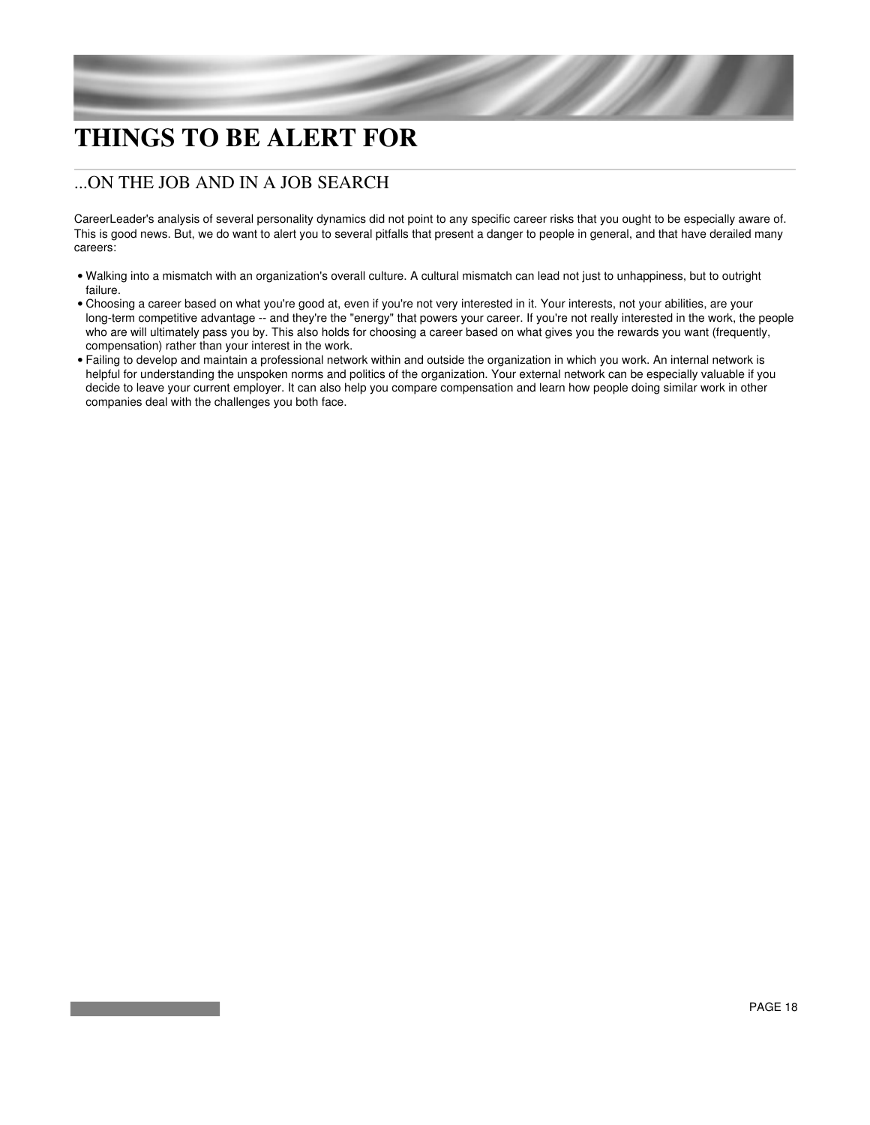## **THINGS TO BE ALERT FOR**

### ...ON THE JOB AND IN A JOB SEARCH

CareerLeader's analysis of several personality dynamics did not point to any specific career risks that you ought to be especially aware of. This is good news. But, we do want to alert you to several pitfalls that present a danger to people in general, and that have derailed many careers:

- Walking into a mismatch with an organization's overall culture. A cultural mismatch can lead not just to unhappiness, but to outright failure.
- Choosing a career based on what you're good at, even if you're not very interested in it. Your interests, not your abilities, are your long-term competitive advantage -- and they're the "energy" that powers your career. If you're not really interested in the work, the people who are will ultimately pass you by. This also holds for choosing a career based on what gives you the rewards you want (frequently, compensation) rather than your interest in the work.
- Failing to develop and maintain a professional network within and outside the organization in which you work. An internal network is helpful for understanding the unspoken norms and politics of the organization. Your external network can be especially valuable if you decide to leave your current employer. It can also help you compare compensation and learn how people doing similar work in other companies deal with the challenges you both face.